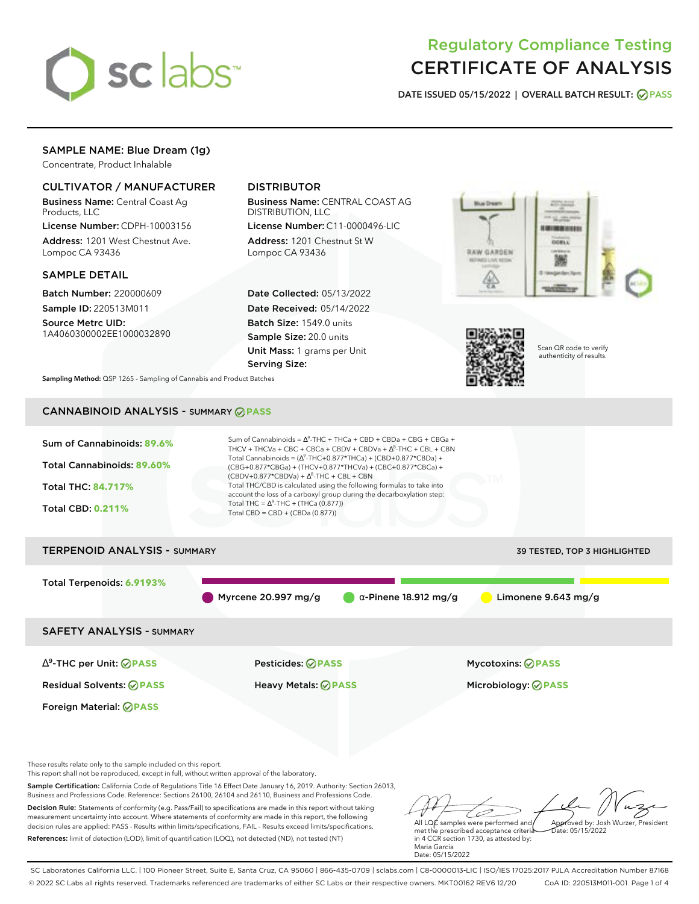

# Regulatory Compliance Testing CERTIFICATE OF ANALYSIS

**DATE ISSUED 05/15/2022 | OVERALL BATCH RESULT: PASS**

### SAMPLE NAME: Blue Dream (1g)

Concentrate, Product Inhalable

### CULTIVATOR / MANUFACTURER

Business Name: Central Coast Ag Products, LLC

License Number: CDPH-10003156 Address: 1201 West Chestnut Ave. Lompoc CA 93436

#### SAMPLE DETAIL

Batch Number: 220000609 Sample ID: 220513M011

Source Metrc UID: 1A4060300002EE1000032890

### DISTRIBUTOR

Business Name: CENTRAL COAST AG DISTRIBUTION, LLC

License Number: C11-0000496-LIC Address: 1201 Chestnut St W Lompoc CA 93436

Date Collected: 05/13/2022 Date Received: 05/14/2022 Batch Size: 1549.0 units Sample Size: 20.0 units Unit Mass: 1 grams per Unit Serving Size:





Scan QR code to verify authenticity of results.

**Sampling Method:** QSP 1265 - Sampling of Cannabis and Product Batches

### CANNABINOID ANALYSIS - SUMMARY **PASS**



Business and Professions Code. Reference: Sections 26100, 26104 and 26110, Business and Professions Code. Decision Rule: Statements of conformity (e.g. Pass/Fail) to specifications are made in this report without taking measurement uncertainty into account. Where statements of conformity are made in this report, the following decision rules are applied: PASS - Results within limits/specifications, FAIL - Results exceed limits/specifications. References: limit of detection (LOD), limit of quantification (LOQ), not detected (ND), not tested (NT)

All LQC samples were performed and Approved by: Josh Wurzer, President Date: 05/15/2022

met the prescribed acceptance criteria in 4 CCR section 1730, as attested by: Maria Garcia Date: 05/15/2022

SC Laboratories California LLC. | 100 Pioneer Street, Suite E, Santa Cruz, CA 95060 | 866-435-0709 | sclabs.com | C8-0000013-LIC | ISO/IES 17025:2017 PJLA Accreditation Number 87168 © 2022 SC Labs all rights reserved. Trademarks referenced are trademarks of either SC Labs or their respective owners. MKT00162 REV6 12/20 CoA ID: 220513M011-001 Page 1 of 4